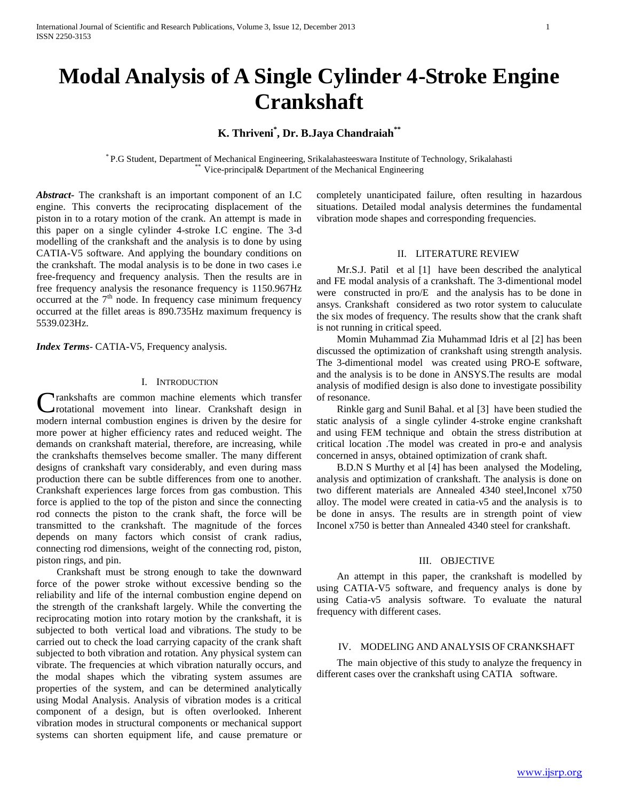# **Modal Analysis of A Single Cylinder 4-Stroke Engine Crankshaft**

## **K. Thriveni\* , Dr. B.Jaya Chandraiah\*\***

\* P.G Student, Department of Mechanical Engineering, Srikalahasteeswara Institute of Technology, Srikalahasti Vice-principal& Department of the Mechanical Engineering

*Abstract***-** The crankshaft is an important component of an I.C engine. This converts the reciprocating displacement of the piston in to a rotary motion of the crank. An attempt is made in this paper on a single cylinder 4-stroke I.C engine. The 3-d modelling of the crankshaft and the analysis is to done by using CATIA-V5 software. And applying the boundary conditions on the crankshaft. The modal analysis is to be done in two cases i.e free-frequency and frequency analysis. Then the results are in free frequency analysis the resonance frequency is 1150.967Hz occurred at the  $7<sup>th</sup>$  node. In frequency case minimum frequency occurred at the fillet areas is 890.735Hz maximum frequency is 5539.023Hz.

*Index Terms*- CATIA-V5, Frequency analysis.

## I. INTRODUCTION

rankshafts are common machine elements which transfer Crankshafts are common machine elements which transfer<br>
crotational movement into linear. Crankshaft design in modern internal combustion engines is driven by the desire for more power at higher efficiency rates and reduced weight. The demands on crankshaft material, therefore, are increasing, while the crankshafts themselves become smaller. The many different designs of crankshaft vary considerably, and even during mass production there can be subtle differences from one to another. Crankshaft experiences large forces from gas combustion. This force is applied to the top of the piston and since the connecting rod connects the piston to the crank shaft, the force will be transmitted to the crankshaft. The magnitude of the forces depends on many factors which consist of crank radius, connecting rod dimensions, weight of the connecting rod, piston, piston rings, and pin.

 Crankshaft must be strong enough to take the downward force of the power stroke without excessive bending so the reliability and life of the internal combustion engine depend on the strength of the crankshaft largely. While the converting the reciprocating motion into rotary motion by the crankshaft, it is subjected to both vertical load and vibrations. The study to be carried out to check the load carrying capacity of the crank shaft subjected to both vibration and rotation. Any physical system can vibrate. The frequencies at which vibration naturally occurs, and the modal shapes which the vibrating system assumes are properties of the system, and can be determined analytically using Modal Analysis. Analysis of vibration modes is a critical component of a design, but is often overlooked. Inherent vibration modes in structural components or mechanical support systems can shorten equipment life, and cause premature or completely unanticipated failure, often resulting in hazardous situations. Detailed modal analysis determines the fundamental vibration mode shapes and corresponding frequencies.

## II. LITERATURE REVIEW

 Mr.S.J. Patil et al [1] have been described the analytical and FE modal analysis of a crankshaft. The 3-dimentional model were constructed in pro/E and the analysis has to be done in ansys. Crankshaft considered as two rotor system to caluculate the six modes of frequency. The results show that the crank shaft is not running in critical speed.

 Momin Muhammad Zia Muhammad Idris et al [2] has been discussed the optimization of crankshaft using strength analysis. The 3-dimentional model was created using PRO-E software, and the analysis is to be done in ANSYS.The results are modal analysis of modified design is also done to investigate possibility of resonance.

 Rinkle garg and Sunil Bahal. et al [3] have been studied the static analysis of a single cylinder 4-stroke engine crankshaft and using FEM technique and obtain the stress distribution at critical location .The model was created in pro-e and analysis concerned in ansys, obtained optimization of crank shaft.

 B.D.N S Murthy et al [4] has been analysed the Modeling, analysis and optimization of crankshaft. The analysis is done on two different materials are Annealed 4340 steel,Inconel x750 alloy. The model were created in catia-v5 and the analysis is to be done in ansys. The results are in strength point of view Inconel x750 is better than Annealed 4340 steel for crankshaft.

## III. OBJECTIVE

 An attempt in this paper, the crankshaft is modelled by using CATIA-V5 software, and frequency analys is done by using Catia-v5 analysis software. To evaluate the natural frequency with different cases.

## IV. MODELING AND ANALYSIS OF CRANKSHAFT

 The main objective of this study to analyze the frequency in different cases over the crankshaft using CATIA software.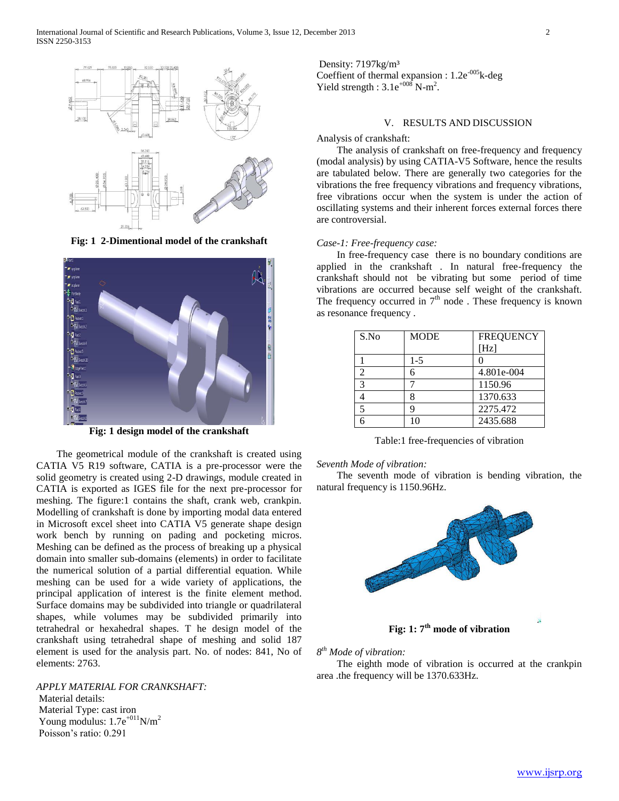

**Fig: 1 2-Dimentional model of the crankshaft**



**Fig: 1 design model of the crankshaft**

 The geometrical module of the crankshaft is created using CATIA V5 R19 software, CATIA is a pre-processor were the solid geometry is created using 2-D drawings, module created in CATIA is exported as IGES file for the next pre-processor for meshing. The figure:1 contains the shaft, crank web, crankpin. Modelling of crankshaft is done by importing modal data entered in Microsoft excel sheet into CATIA V5 generate shape design work bench by running on pading and pocketing micros. Meshing can be defined as the process of breaking up a physical domain into smaller sub-domains (elements) in order to facilitate the numerical solution of a partial differential equation. While meshing can be used for a wide variety of applications, the principal application of interest is the finite element method. Surface domains may be subdivided into triangle or quadrilateral shapes, while volumes may be subdivided primarily into tetrahedral or hexahedral shapes. T he design model of the crankshaft using tetrahedral shape of meshing and solid 187 element is used for the analysis part. No. of nodes: 841, No of elements: 2763.

## *APPLY MATERIAL FOR CRANKSHAFT:*

Material details: Material Type: cast iron Young modulus:  $1.7e^{+0.11}N/m^2$ Poisson's ratio: 0.291

Density: 7197kg/m³ Coeffient of thermal expansion : 1.2e<sup>-005</sup>k-deg Yield strength :  $3.1e^{+008}$  N-m<sup>2</sup>.

## V. RESULTS AND DISCUSSION

Analysis of crankshaft:

 The analysis of crankshaft on free-frequency and frequency (modal analysis) by using CATIA-V5 Software, hence the results are tabulated below. There are generally two categories for the vibrations the free frequency vibrations and frequency vibrations, free vibrations occur when the system is under the action of oscillating systems and their inherent forces external forces there are controversial.

## *Case-1: Free-frequency case:*

 In free-frequency case there is no boundary conditions are applied in the crankshaft . In natural free-frequency the crankshaft should not be vibrating but some period of time vibrations are occurred because self weight of the crankshaft. The frequency occurred in  $7<sup>th</sup>$  node. These frequency is known as resonance frequency .

| S.No          | <b>MODE</b> | <b>FREQUENCY</b><br>[Hz] |
|---------------|-------------|--------------------------|
|               | $1-5$       |                          |
| $\mathcal{D}$ |             | 4.801e-004               |
| $\mathcal{R}$ |             | 1150.96                  |
|               |             | 1370.633                 |
|               |             | 2275.472                 |
|               | 10          | 2435.688                 |

Table:1 free-frequencies of vibration

#### *Seventh Mode of vibration:*

 The seventh mode of vibration is bending vibration, the natural frequency is 1150.96Hz.



*8 th Mode of vibration:* 

 The eighth mode of vibration is occurred at the crankpin area .the frequency will be 1370.633Hz.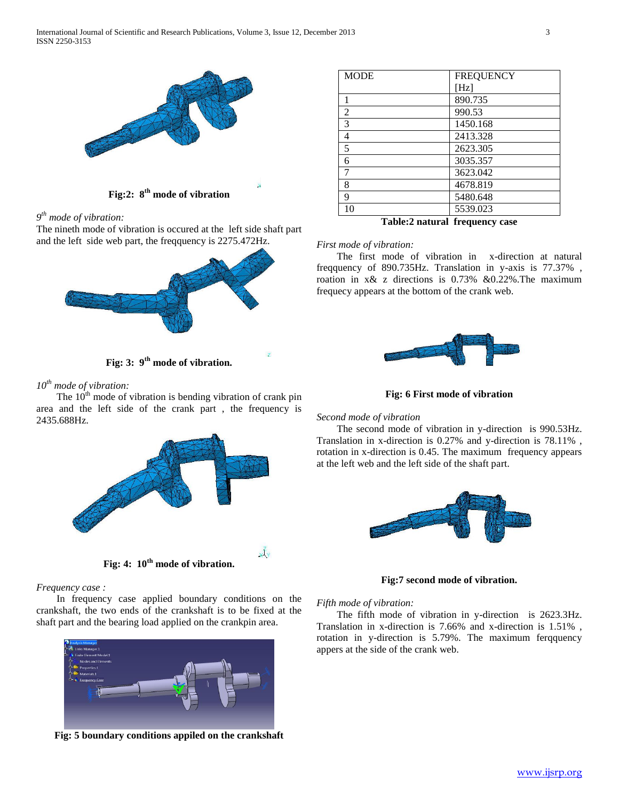

**Fig:2: 8th mode of vibration**

*9 th mode of vibration:*

The nineth mode of vibration is occured at the left side shaft part and the left side web part, the freqquency is 2275.472Hz.



**Fig: 3: 9th mode of vibration.**

*10th mode of vibration:*

The  $10<sup>th</sup>$  mode of vibration is bending vibration of crank pin area and the left side of the crank part , the frequency is 2435.688Hz.



*Frequency case :*

 In frequency case applied boundary conditions on the crankshaft, the two ends of the crankshaft is to be fixed at the shaft part and the bearing load applied on the crankpin area.



**Fig: 5 boundary conditions appiled on the crankshaft**

| <b>MODE</b> | <b>FREQUENCY</b> |
|-------------|------------------|
|             | [Hz]             |
|             | 890.735          |
| 2           | 990.53           |
| 3           | 1450.168         |
| 4           | 2413.328         |
| 5           | 2623.305         |
| 6           | 3035.357         |
| 7           | 3623.042         |
| 8           | 4678.819         |
| 9           | 5480.648         |
| 10          | 5539.023         |

**Table:2 natural frequency case**

## *First mode of vibration:*

 The first mode of vibration in x-direction at natural freqquency of 890.735Hz. Translation in y-axis is 77.37% , roation in x& z directions is 0.73% &0.22%.The maximum frequecy appears at the bottom of the crank web.



**Fig: 6 First mode of vibration**

## *Second mode of vibration*

 The second mode of vibration in y-direction is 990.53Hz. Translation in x-direction is 0.27% and y-direction is 78.11% , rotation in x-direction is 0.45. The maximum frequency appears at the left web and the left side of the shaft part.



**Fig:7 second mode of vibration.**

## *Fifth mode of vibration:*

 The fifth mode of vibration in y-direction is 2623.3Hz. Translation in x-direction is 7.66% and x-direction is 1.51% , rotation in y-direction is 5.79%. The maximum ferqquency appers at the side of the crank web.